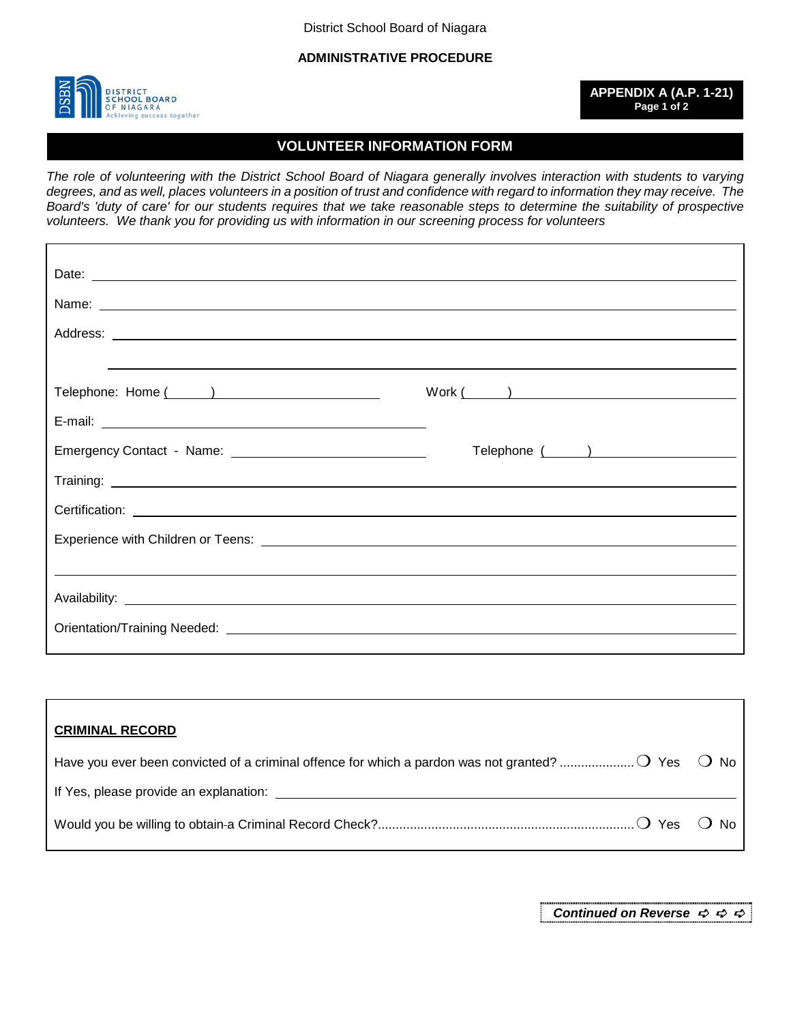District School Board of Niagara

**ADMINISTRATIVE PROCEDURE**



**APPENDIX A (A.P. 1-21) Page 1 of 2**

## **VOLUNTEER INFORMATION FORM**

*The role of volunteering with the District School Board of Niagara generally involves interaction with students to varying degrees, and as well, places volunteers in a position of trust and confidence with regard to information they may receive. The Board's 'duty of care' for our students requires that we take reasonable steps to determine the suitability of prospective volunteers. We thank you for providing us with information in our screening process for volunteers*

|                                                                                                                                                                                            | $Work ( )$ |
|--------------------------------------------------------------------------------------------------------------------------------------------------------------------------------------------|------------|
| E-mail: <b>E-mail: E-mail: E-mail: E-mail: E-mail: E-mail: E-mail: E-mail: E-mail: E-mail: E-mail: E-mail: E-mail: E-mail: E-mail: E-mail: E-mail: E-mail: E-mail: E-mail: E-mail: E-m</b> |            |
|                                                                                                                                                                                            |            |
|                                                                                                                                                                                            |            |
|                                                                                                                                                                                            |            |
|                                                                                                                                                                                            |            |
|                                                                                                                                                                                            |            |
|                                                                                                                                                                                            |            |
|                                                                                                                                                                                            |            |
|                                                                                                                                                                                            |            |

| <b>CRIMINAL RECORD</b>                                                                                |       |
|-------------------------------------------------------------------------------------------------------|-------|
| Have you ever been convicted of a criminal offence for which a pardon was not granted? $O$ Yes $O$ No |       |
| If Yes, please provide an explanation:                                                                |       |
| $\bigcap$ Yes $'$                                                                                     | ( )No |

*Continued on Reverse*  $\phi \Leftrightarrow \phi$